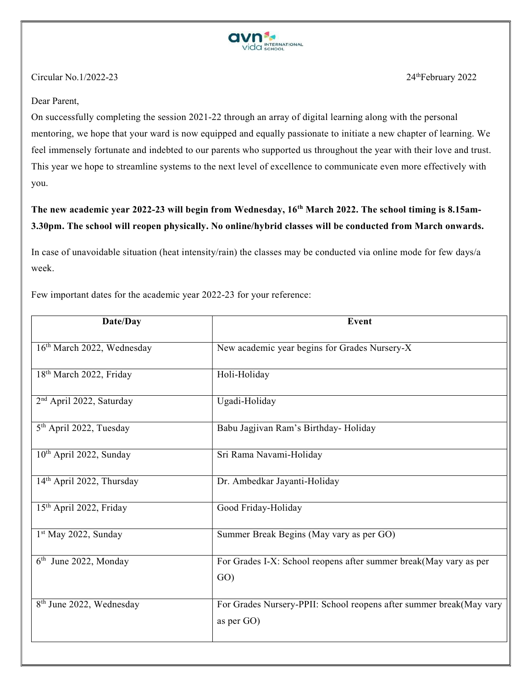

## Circular No.  $1/2022-23$  24<sup>th</sup>February 2022

# Dear Parent,

On successfully completing the session 2021-22 through an array of digital learning along with the personal mentoring, we hope that your ward is now equipped and equally passionate to initiate a new chapter of learning. We feel immensely fortunate and indebted to our parents who supported us throughout the year with their love and trust. This year we hope to streamline systems to the next level of excellence to communicate even more effectively with you.

# The new academic year 2022-23 will begin from Wednesday, 16th March 2022. The school timing is 8.15am-3.30pm. The school will reopen physically. No online/hybrid classes will be conducted from March onwards.

In case of unavoidable situation (heat intensity/rain) the classes may be conducted via online mode for few days/a week.

Few important dates for the academic year 2022-23 for your reference:

| Date/Day                               | Event                                                                             |  |
|----------------------------------------|-----------------------------------------------------------------------------------|--|
| 16 <sup>th</sup> March 2022, Wednesday | New academic year begins for Grades Nursery-X                                     |  |
| 18 <sup>th</sup> March 2022, Friday    | Holi-Holiday                                                                      |  |
| 2 <sup>nd</sup> April 2022, Saturday   | Ugadi-Holiday                                                                     |  |
| 5 <sup>th</sup> April 2022, Tuesday    | Babu Jagjivan Ram's Birthday- Holiday                                             |  |
| 10 <sup>th</sup> April 2022, Sunday    | Sri Rama Navami-Holiday                                                           |  |
| 14 <sup>th</sup> April 2022, Thursday  | Dr. Ambedkar Jayanti-Holiday                                                      |  |
| 15 <sup>th</sup> April 2022, Friday    | Good Friday-Holiday                                                               |  |
| $1st$ May 2022, Sunday                 | Summer Break Begins (May vary as per GO)                                          |  |
| 6 <sup>th</sup> June 2022, Monday      | For Grades I-X: School reopens after summer break(May vary as per<br>GO)          |  |
| 8 <sup>th</sup> June 2022, Wednesday   | For Grades Nursery-PPII: School reopens after summer break(May vary<br>as per GO) |  |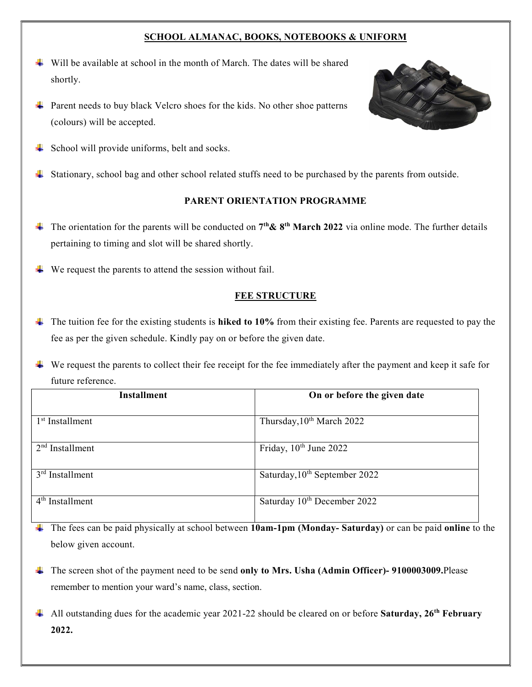## SCHOOL ALMANAC, BOOKS, NOTEBOOKS & UNIFORM

- $\ddot{\textbf{v}}$  Will be available at school in the month of March. The dates will be shared shortly.
- $\overline{\text{H}}$  Parent needs to buy black Velcro shoes for the kids. No other shoe patterns (colours) will be accepted.



- $\downarrow$  School will provide uniforms, belt and socks.
- Stationary, school bag and other school related stuffs need to be purchased by the parents from outside.

# PARENT ORIENTATION PROGRAMME

- The orientation for the parents will be conducted on  $7<sup>th</sup>$ &  $8<sup>th</sup>$  March 2022 via online mode. The further details pertaining to timing and slot will be shared shortly.
- $\downarrow$  We request the parents to attend the session without fail.

### FEE STRUCTURE

 $\ddot{\phantom{1}}$  The tuition fee for the existing students is **hiked to 10%** from their existing fee. Parents are requested to pay the fee as per the given schedule. Kindly pay on or before the given date.

 $\downarrow$  We request the parents to collect their fee receipt for the fee immediately after the payment and keep it safe for future reference.

| <b>Installment</b>          | On or before the given date             |  |
|-----------------------------|-----------------------------------------|--|
|                             |                                         |  |
| 1 <sup>st</sup> Installment | Thursday, 10 <sup>th</sup> March 2022   |  |
| $2nd$ Installment           | Friday, 10th June 2022                  |  |
| $3rd$ Installment           | Saturday, $10^{th}$ September 2022      |  |
| $4th$ Installment           | Saturday 10 <sup>th</sup> December 2022 |  |

The fees can be paid physically at school between 10am-1pm (Monday- Saturday) or can be paid online to the below given account.

- The screen shot of the payment need to be send only to Mrs. Usha (Admin Officer)-9100003009. Please remember to mention your ward's name, class, section.
- All outstanding dues for the academic year 2021-22 should be cleared on or before **Saturday, 26<sup>th</sup> February** 2022.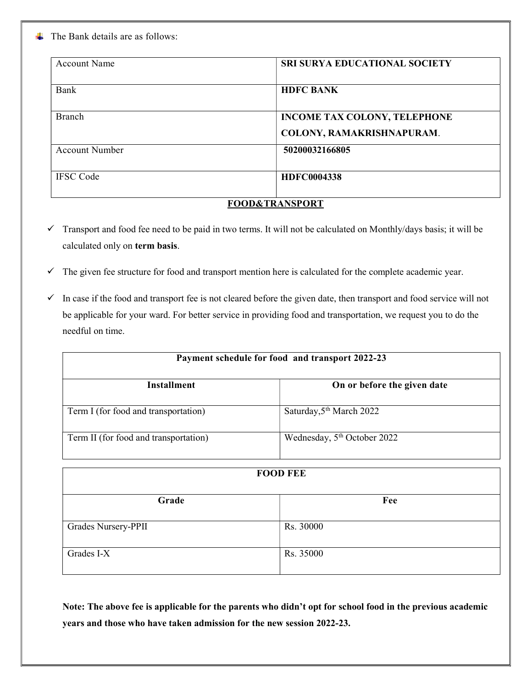$\blacksquare$  The Bank details are as follows:

| <b>Account Name</b>       | <b>SRI SURYA EDUCATIONAL SOCIETY</b> |  |  |
|---------------------------|--------------------------------------|--|--|
| Bank                      | <b>HDFC BANK</b>                     |  |  |
| Branch                    | <b>INCOME TAX COLONY, TELEPHONE</b>  |  |  |
|                           | COLONY, RAMAKRISHNAPURAM.            |  |  |
| <b>Account Number</b>     | 50200032166805                       |  |  |
| <b>IFSC</b> Code          | <b>HDFC0004338</b>                   |  |  |
| <b>FOOD&amp;TRANSPORT</b> |                                      |  |  |

- $\checkmark$  Transport and food fee need to be paid in two terms. It will not be calculated on Monthly/days basis; it will be calculated only on term basis.
- $\checkmark$  The given fee structure for food and transport mention here is calculated for the complete academic year.
- $\checkmark$  In case if the food and transport fee is not cleared before the given date, then transport and food service will not be applicable for your ward. For better service in providing food and transportation, we request you to do the needful on time.

| Payment schedule for food and transport 2022-23 |                                      |  |  |
|-------------------------------------------------|--------------------------------------|--|--|
| Installment                                     | On or before the given date          |  |  |
| Term I (for food and transportation)            | Saturday, 5 <sup>th</sup> March 2022 |  |  |
| Term II (for food and transportation)           | Wednesday, $5th$ October 2022        |  |  |

| <b>FOOD FEE</b>     |           |  |  |
|---------------------|-----------|--|--|
| Grade               | Fee       |  |  |
| Grades Nursery-PPII | Rs. 30000 |  |  |
| Grades I-X          | Rs. 35000 |  |  |

Note: The above fee is applicable for the parents who didn't opt for school food in the previous academic years and those who have taken admission for the new session 2022-23.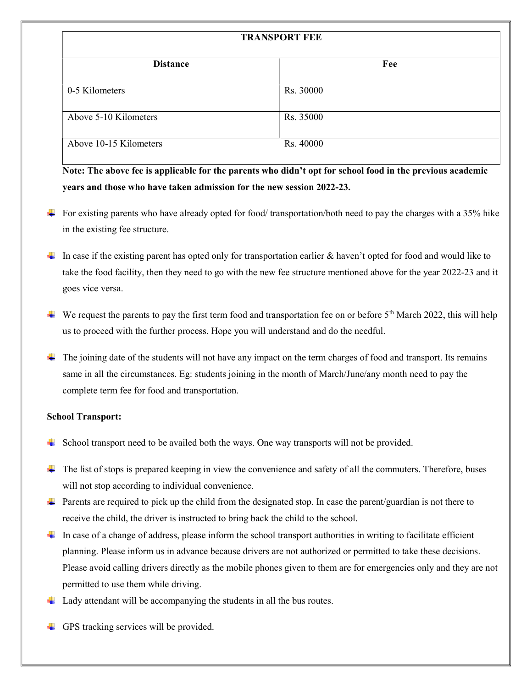| <b>TRANSPORT FEE</b>   |           |  |  |
|------------------------|-----------|--|--|
| <b>Distance</b>        | Fee       |  |  |
| 0-5 Kilometers         | Rs. 30000 |  |  |
| Above 5-10 Kilometers  | Rs. 35000 |  |  |
| Above 10-15 Kilometers | Rs. 40000 |  |  |

Note: The above fee is applicable for the parents who didn't opt for school food in the previous academic years and those who have taken admission for the new session 2022-23.

- For existing parents who have already opted for food/ transportation/both need to pay the charges with a 35% hike in the existing fee structure.
- In case if the existing parent has opted only for transportation earlier  $\&$  haven't opted for food and would like to take the food facility, then they need to go with the new fee structure mentioned above for the year 2022-23 and it goes vice versa.
- We request the parents to pay the first term food and transportation fee on or before  $5<sup>th</sup>$  March 2022, this will help us to proceed with the further process. Hope you will understand and do the needful.
- $\Box$  The joining date of the students will not have any impact on the term charges of food and transport. Its remains same in all the circumstances. Eg: students joining in the month of March/June/any month need to pay the complete term fee for food and transportation.

### School Transport:

- School transport need to be availed both the ways. One way transports will not be provided.
- $\Box$  The list of stops is prepared keeping in view the convenience and safety of all the commuters. Therefore, buses will not stop according to individual convenience.
- **Parents are required to pick up the child from the designated stop. In case the parent/guardian is not there to** receive the child, the driver is instructed to bring back the child to the school.
- In case of a change of address, please inform the school transport authorities in writing to facilitate efficient planning. Please inform us in advance because drivers are not authorized or permitted to take these decisions. Please avoid calling drivers directly as the mobile phones given to them are for emergencies only and they are not permitted to use them while driving.
- Lady attendant will be accompanying the students in all the bus routes.
- $\triangleq$  GPS tracking services will be provided.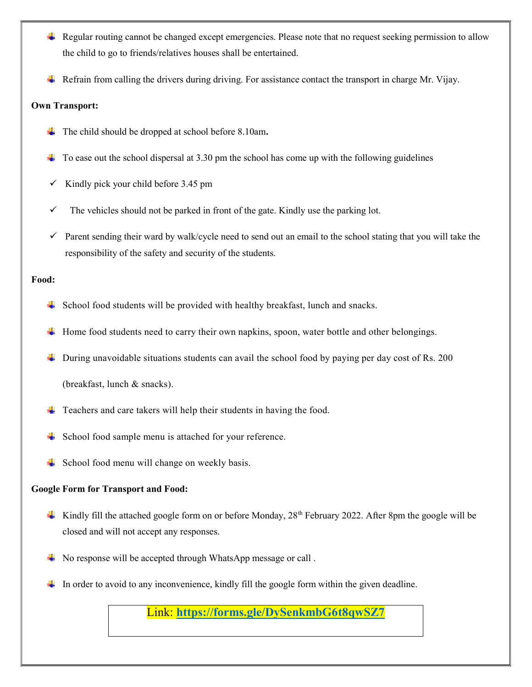- Regular routing cannot be changed except emergencies. Please note that no request seeking permission to allow the child to go to friends/relatives houses shall be entertained.
- $\triangleq$  Refrain from calling the drivers during driving. For assistance contact the transport in charge Mr. Vijay.

### Own Transport:

- $\downarrow$  The child should be dropped at school before 8.10am.
- $\downarrow$  To ease out the school dispersal at 3.30 pm the school has come up with the following guidelines
- $\checkmark$  Kindly pick your child before 3.45 pm
- $\checkmark$  The vehicles should not be parked in front of the gate. Kindly use the parking lot.
- Parent sending their ward by walk/cycle need to send out an email to the school stating that you will take the responsibility of the safety and security of the students.

### Food:

- $\overline{\text{4}}$  School food students will be provided with healthy breakfast, lunch and snacks.
- Home food students need to carry their own napkins, spoon, water bottle and other belongings.
- $\ddot{\phantom{1}}$  During unavoidable situations students can avail the school food by paying per day cost of Rs. 200

(breakfast, lunch & snacks).

- $\overline{\phantom{a}}$  Teachers and care takers will help their students in having the food.
- School food sample menu is attached for your reference.
- $\downarrow$  School food menu will change on weekly basis.

### Google Form for Transport and Food:

- Kindly fill the attached google form on or before Monday,  $28<sup>th</sup>$  February 2022. After 8pm the google will be closed and will not accept any responses.
- $\overline{\text{#}}$  No response will be accepted through WhatsApp message or call.
- In order to avoid to any inconvenience, kindly fill the google form within the given deadline.

Link: https://forms.gle/DySenkmbG6t8qwSZ7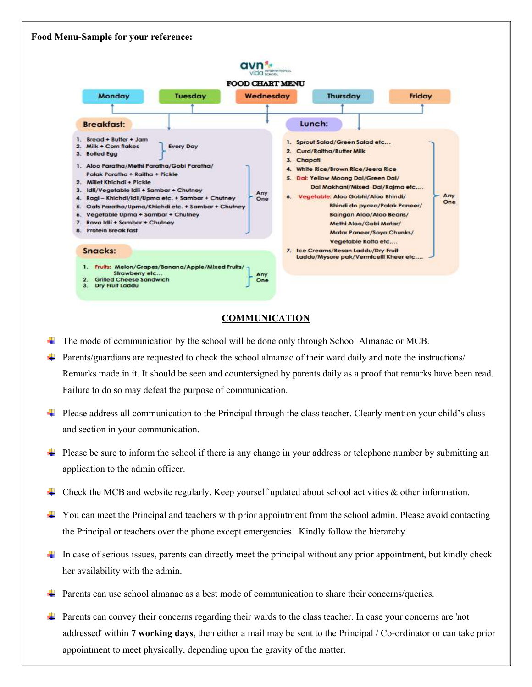# Food Menu-Sample for your reference:



#### COMMUNICATION

- The mode of communication by the school will be done only through School Almanac or MCB.
- Parents/guardians are requested to check the school almanac of their ward daily and note the instructions/ Remarks made in it. It should be seen and countersigned by parents daily as a proof that remarks have been read. Failure to do so may defeat the purpose of communication.
- Please address all communication to the Principal through the class teacher. Clearly mention your child's class and section in your communication.
- Please be sure to inform the school if there is any change in your address or telephone number by submitting an application to the admin officer.
- Check the MCB and website regularly. Keep yourself updated about school activities & other information.
- $\downarrow$  You can meet the Principal and teachers with prior appointment from the school admin. Please avoid contacting the Principal or teachers over the phone except emergencies. Kindly follow the hierarchy.
- In case of serious issues, parents can directly meet the principal without any prior appointment, but kindly check her availability with the admin.
- Parents can use school almanac as a best mode of communication to share their concerns/queries.
- **Parents can convey their concerns regarding their wards to the class teacher. In case your concerns are 'not** addressed' within 7 working days, then either a mail may be sent to the Principal / Co-ordinator or can take prior appointment to meet physically, depending upon the gravity of the matter.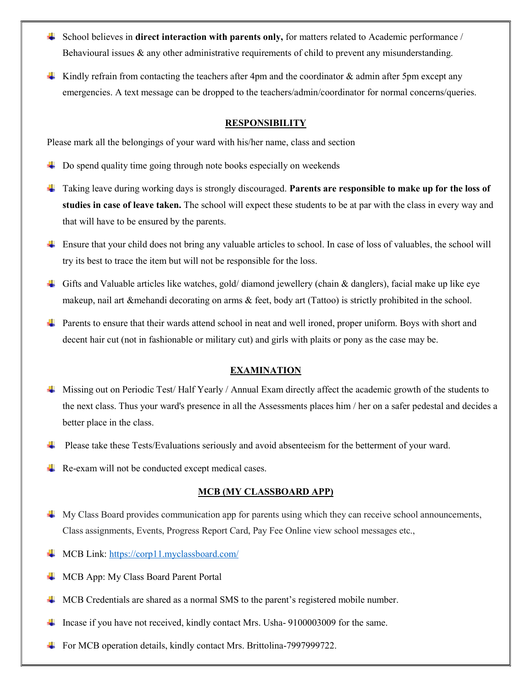- $\frac{1}{2}$  School believes in **direct interaction with parents only,** for matters related to Academic performance / Behavioural issues & any other administrative requirements of child to prevent any misunderstanding.
- Kindly refrain from contacting the teachers after 4pm and the coordinator  $\&$  admin after 5pm except any emergencies. A text message can be dropped to the teachers/admin/coordinator for normal concerns/queries.

#### **RESPONSIBILITY**

Please mark all the belongings of your ward with his/her name, class and section

- $\Box$  Do spend quality time going through note books especially on weekends
- ↓ Taking leave during working days is strongly discouraged. Parents are responsible to make up for the loss of studies in case of leave taken. The school will expect these students to be at par with the class in every way and that will have to be ensured by the parents.
- Ensure that your child does not bring any valuable articles to school. In case of loss of valuables, the school will try its best to trace the item but will not be responsible for the loss.
- Gifts and Valuable articles like watches, gold/ diamond jewellery (chain & danglers), facial make up like eye makeup, nail art &mehandi decorating on arms & feet, body art (Tattoo) is strictly prohibited in the school.
- Parents to ensure that their wards attend school in neat and well ironed, proper uniform. Boys with short and decent hair cut (not in fashionable or military cut) and girls with plaits or pony as the case may be.

#### EXAMINATION

- Missing out on Periodic Test/ Half Yearly / Annual Exam directly affect the academic growth of the students to the next class. Thus your ward's presence in all the Assessments places him / her on a safer pedestal and decides a better place in the class.
- Please take these Tests/Evaluations seriously and avoid absenteeism for the betterment of your ward.
- $\downarrow$  Re-exam will not be conducted except medical cases.

#### MCB (MY CLASSBOARD APP)

- My Class Board provides communication app for parents using which they can receive school announcements, Class assignments, Events, Progress Report Card, Pay Fee Online view school messages etc.,
- MCB Link: https://corp11.myclassboard.com/
- MCB App: My Class Board Parent Portal
- MCB Credentials are shared as a normal SMS to the parent's registered mobile number.
- Incase if you have not received, kindly contact Mrs. Usha- 9100003009 for the same.
- $\overline{\phantom{a} \bullet}$  For MCB operation details, kindly contact Mrs. Brittolina-7997999722.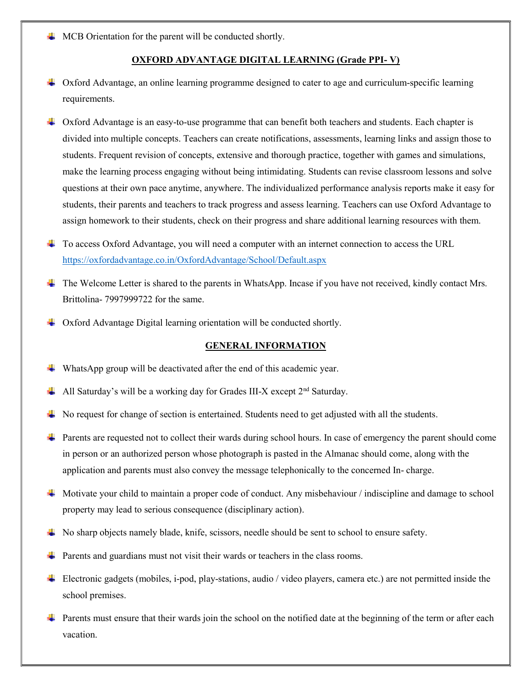$\perp$  MCB Orientation for the parent will be conducted shortly.

### OXFORD ADVANTAGE DIGITAL LEARNING (Grade PPI- V)

- Oxford Advantage, an online learning programme designed to cater to age and curriculum-specific learning requirements.
- Oxford Advantage is an easy-to-use programme that can benefit both teachers and students. Each chapter is divided into multiple concepts. Teachers can create notifications, assessments, learning links and assign those to students. Frequent revision of concepts, extensive and thorough practice, together with games and simulations, make the learning process engaging without being intimidating. Students can revise classroom lessons and solve questions at their own pace anytime, anywhere. The individualized performance analysis reports make it easy for students, their parents and teachers to track progress and assess learning. Teachers can use Oxford Advantage to assign homework to their students, check on their progress and share additional learning resources with them.
- To access Oxford Advantage, you will need a computer with an internet connection to access the URL https://oxfordadvantage.co.in/OxfordAdvantage/School/Default.aspx
- The Welcome Letter is shared to the parents in WhatsApp. Incase if you have not received, kindly contact Mrs. Brittolina- 7997999722 for the same.
- Oxford Advantage Digital learning orientation will be conducted shortly.

#### GENERAL INFORMATION

- WhatsApp group will be deactivated after the end of this academic year.
- All Saturday's will be a working day for Grades III-X except 2<sup>nd</sup> Saturday.
- No request for change of section is entertained. Students need to get adjusted with all the students.
- $\Box$  Parents are requested not to collect their wards during school hours. In case of emergency the parent should come in person or an authorized person whose photograph is pasted in the Almanac should come, along with the application and parents must also convey the message telephonically to the concerned In- charge.
- Motivate your child to maintain a proper code of conduct. Any misbehaviour / indiscipline and damage to school property may lead to serious consequence (disciplinary action).
- $\blacktriangle$  No sharp objects namely blade, knife, scissors, needle should be sent to school to ensure safety.
- **Parents and guardians must not visit their wards or teachers in the class rooms.**
- Electronic gadgets (mobiles, i-pod, play-stations, audio / video players, camera etc.) are not permitted inside the school premises.
- **Parents must ensure that their wards join the school on the notified date at the beginning of the term or after each** vacation.